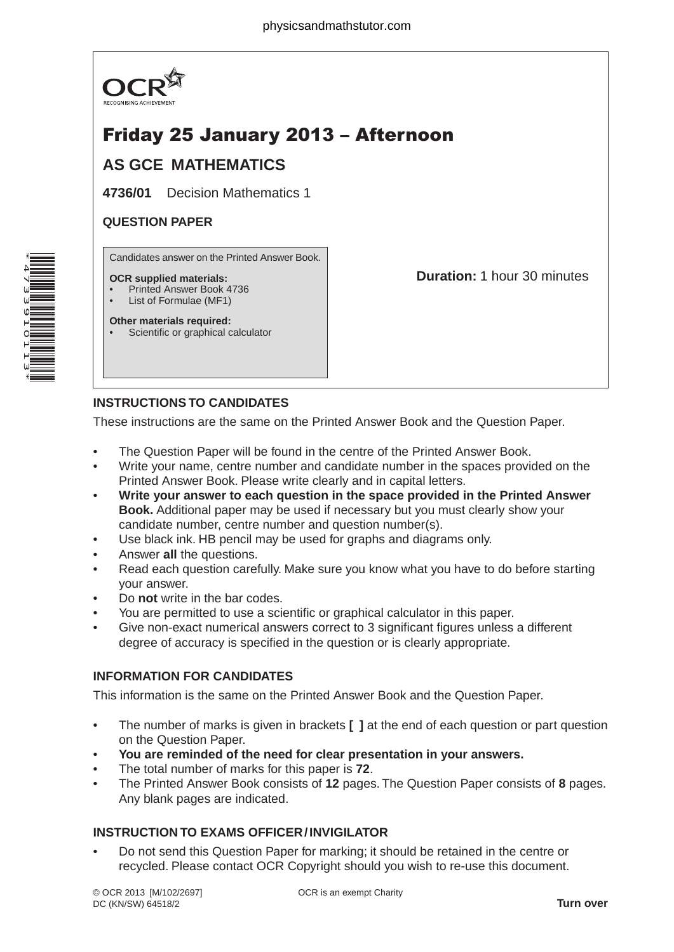

# Friday 25 January 2013 – Afternoon

# **AS GCE MATHEMATICS**

**4736/01** Decision Mathematics 1

## **QUESTION PAPER**

Candidates answer on the Printed Answer Book.

#### **OCR supplied materials:**

- Printed Answer Book 4736
- List of Formulae (MF1)

**Other materials required:** Scientific or graphical calculator **Duration:** 1 hour 30 minutes

## **INSTRUCTIONS TO CANDIDATES**

These instructions are the same on the Printed Answer Book and the Question Paper.

- The Question Paper will be found in the centre of the Printed Answer Book.
- Write your name, centre number and candidate number in the spaces provided on the Printed Answer Book. Please write clearly and in capital letters.
- **Write your answer to each question in the space provided in the Printed Answer Book.** Additional paper may be used if necessary but you must clearly show your candidate number, centre number and question number(s).
- Use black ink. HB pencil may be used for graphs and diagrams only.
- Answer **all** the questions.
- Read each question carefully. Make sure you know what you have to do before starting your answer.
- Do **not** write in the bar codes.
- You are permitted to use a scientific or graphical calculator in this paper.
- Give non-exact numerical answers correct to 3 significant figures unless a different degree of accuracy is specified in the question or is clearly appropriate.

## **INFORMATION FOR CANDIDATES**

This information is the same on the Printed Answer Book and the Question Paper.

- The number of marks is given in brackets **[ ]** at the end of each question or part question on the Question Paper.
- **You are reminded of the need for clear presentation in your answers.**
- The total number of marks for this paper is **72**.
- The Printed Answer Book consists of **12** pages. The Question Paper consists of **8** pages. Any blank pages are indicated.

## **INSTRUCTION TO EXAMS OFFICER / INVIGILATOR**

• Do not send this Question Paper for marking; it should be retained in the centre or recycled. Please contact OCR Copyright should you wish to re-use this document.

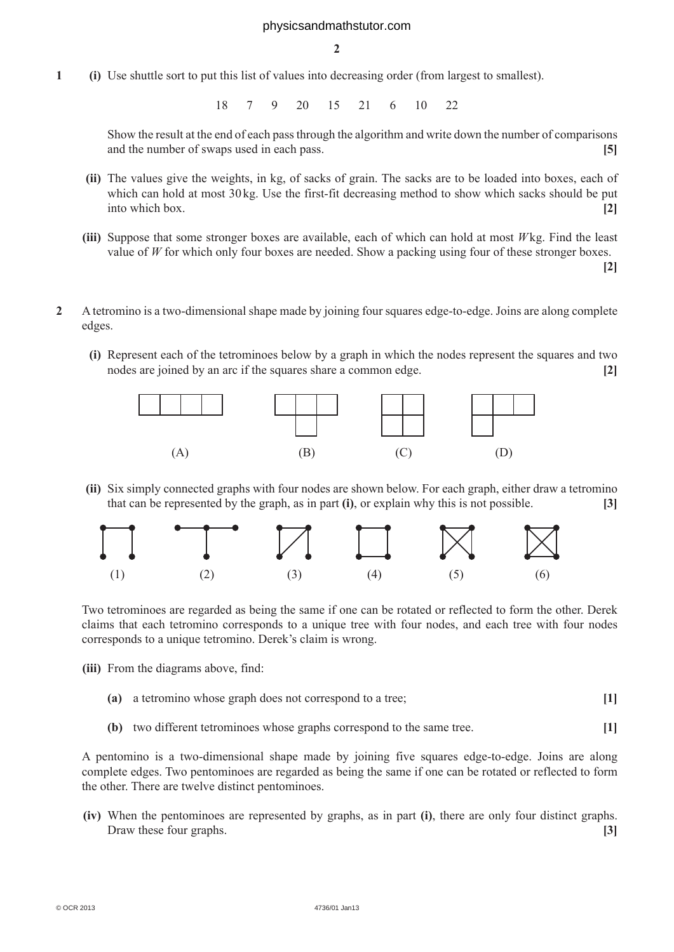**2**

**1** (i) Use shuttle sort to put this list of values into decreasing order (from largest to smallest).

18 7 9 20 15 21 6 10 22

Show the result at the end of each pass through the algorithm and write down the number of comparisons and the number of swaps used in each pass. **[5]**

- (ii) The values give the weights, in kg, of sacks of grain. The sacks are to be loaded into boxes, each of which can hold at most  $30 \text{ kg}$ . Use the first-fit decreasing method to show which sacks should be put into which box. **[2]**
- **(iii)** Suppose that some stronger boxes are available, each of which can hold at most *W* kg. Find the least value of *W* for which only four boxes are needed. Show a packing using four of these stronger boxes.

**[2]**

- **2**  A tetromino is a two-dimensional shape made by joining four squares edge-to-edge. Joins are along complete edges.
	- **(i)** Represent each of the tetrominoes below by a graph in which the nodes represent the squares and two nodes are joined by an arc if the squares share a common edge. **[2]**



**(ii)** Six simply connected graphs with four nodes are shown below. For each graph, either draw a tetromino that can be represented by the graph, as in part **(i)**, or explain why this is not possible. **[3]**



Two tetrominoes are regarded as being the same if one can be rotated or reflected to form the other. Derek claims that each tetromino corresponds to a unique tree with four nodes, and each tree with four nodes corresponds to a unique tetromino. Derek's claim is wrong.

**(iii)** From the diagrams above, find:

- **(a)** a tetromino whose graph does not correspond to a tree; **[1]**
- **(b)** two different tetrominoes whose graphs correspond to the same tree. [1]

A pentomino is a two-dimensional shape made by joining five squares edge-to-edge. Joins are along complete edges. Two pentominoes are regarded as being the same if one can be rotated or reflected to form the other. There are twelve distinct pentominoes.

**(iv)** When the pentominoes are represented by graphs, as in part **(i)**, there are only four distinct graphs. Draw these four graphs. **[3] [3]**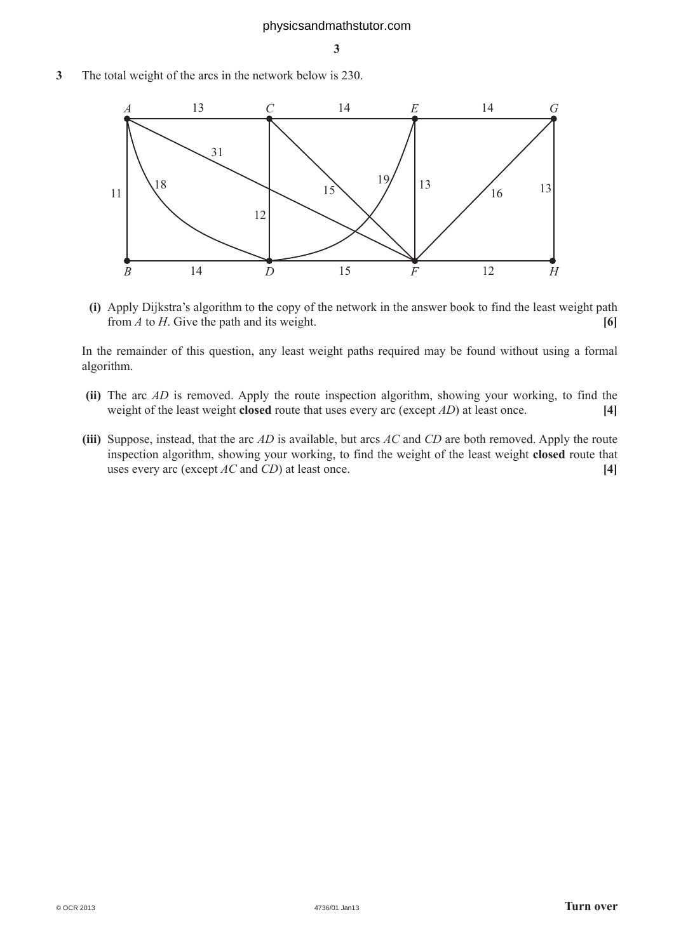**3**

**3**  The total weight of the arcs in the network below is 230.



**(i)** Apply Dijkstra's algorithm to the copy of the network in the answer book to find the least weight path from *A* to *H*. Give the path and its weight. **[6]**

In the remainder of this question, any least weight paths required may be found without using a formal algorithm.

- **(ii)** The arc *AD* is removed. Apply the route inspection algorithm, showing your working, to find the weight of the least weight **closed** route that uses every arc (except *AD*) at least once. **[4]**
- **(iii)** Suppose, instead, that the arc *AD* is available, but arcs *AC* and *CD* are both removed. Apply the route inspection algorithm, showing your working, to find the weight of the least weight **closed** route that uses every arc (except *AC* and *CD*) at least once. **[4]**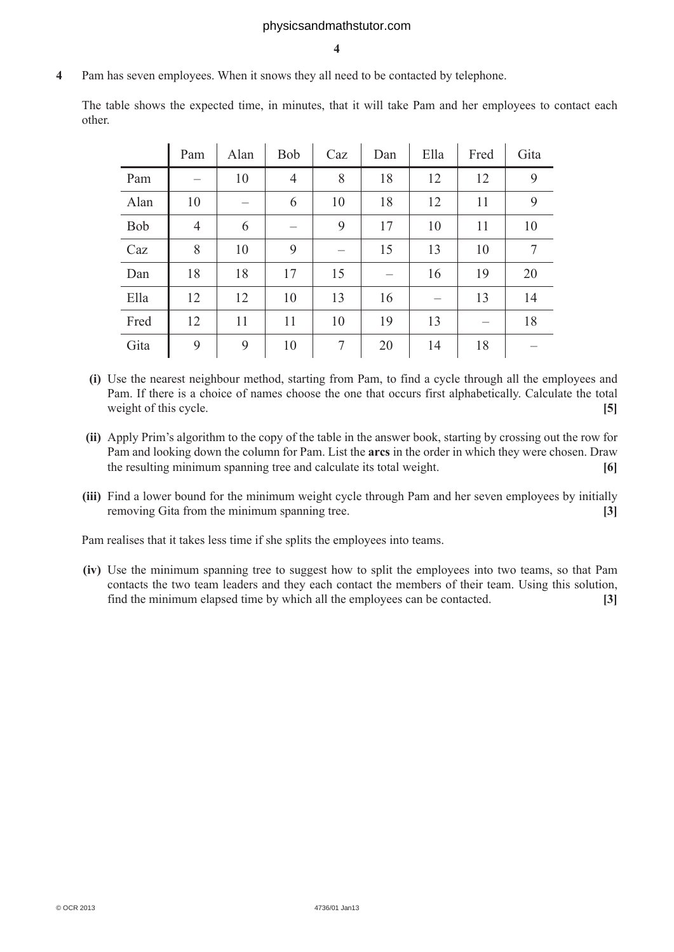**4**

**4**  Pam has seven employees. When it snows they all need to be contacted by telephone.

The table shows the expected time, in minutes, that it will take Pam and her employees to contact each other.

|      | Pam            | Alan | <b>Bob</b>     | Caz | Dan | Ella | Fred | Gita           |
|------|----------------|------|----------------|-----|-----|------|------|----------------|
| Pam  |                | 10   | $\overline{4}$ | 8   | 18  | 12   | 12   | 9              |
| Alan | 10             |      | 6              | 10  | 18  | 12   | 11   | 9              |
| Bob  | $\overline{4}$ | 6    |                | 9   | 17  | 10   | 11   | 10             |
| Caz  | 8              | 10   | 9              |     | 15  | 13   | 10   | $\overline{7}$ |
| Dan  | 18             | 18   | 17             | 15  |     | 16   | 19   | 20             |
| Ella | 12             | 12   | 10             | 13  | 16  |      | 13   | 14             |
| Fred | 12             | 11   | 11             | 10  | 19  | 13   |      | 18             |
| Gita | 9              | 9    | 10             | 7   | 20  | 14   | 18   |                |

- **(i)** Use the nearest neighbour method, starting from Pam, to find a cycle through all the employees and Pam. If there is a choice of names choose the one that occurs first alphabetically. Calculate the total weight of this cycle. **[5]**
- **(ii)** Apply Prim's algorithm to the copy of the table in the answer book, starting by crossing out the row for Pam and looking down the column for Pam. List the **arcs** in the order in which they were chosen. Draw the resulting minimum spanning tree and calculate its total weight. **[6]**
- **(iii)** Find a lower bound for the minimum weight cycle through Pam and her seven employees by initially removing Gita from the minimum spanning tree. **[3]**

Pam realises that it takes less time if she splits the employees into teams.

**(iv)** Use the minimum spanning tree to suggest how to split the employees into two teams, so that Pam contacts the two team leaders and they each contact the members of their team. Using this solution, find the minimum elapsed time by which all the employees can be contacted. **[3]**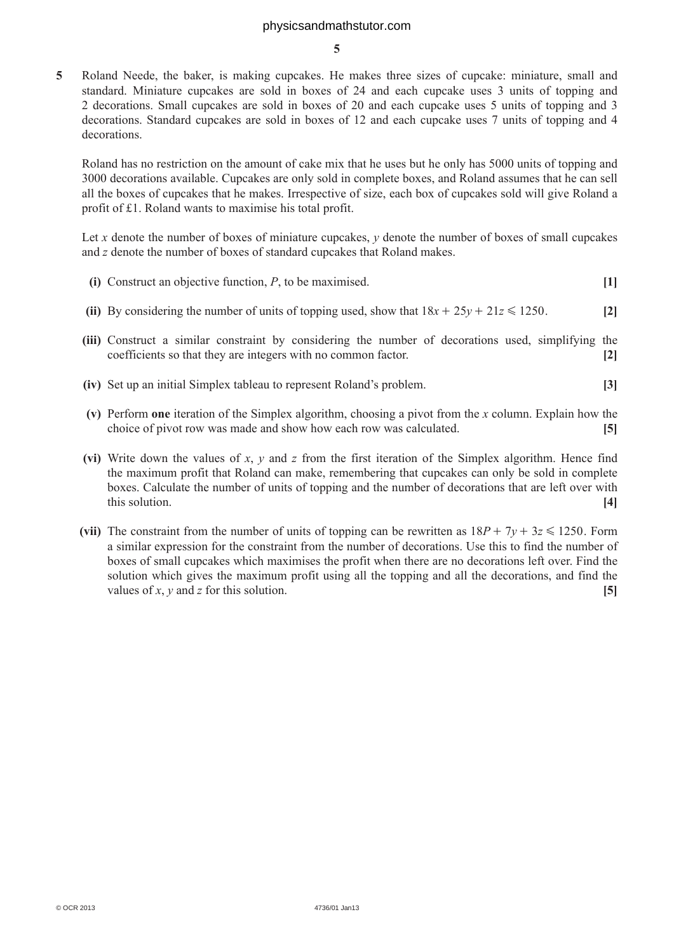**5**

**5**  Roland Neede, the baker, is making cupcakes. He makes three sizes of cupcake: miniature, small and standard. Miniature cupcakes are sold in boxes of 24 and each cupcake uses 3 units of topping and 2 decorations. Small cupcakes are sold in boxes of 20 and each cupcake uses 5 units of topping and 3 decorations. Standard cupcakes are sold in boxes of 12 and each cupcake uses 7 units of topping and 4 decorations.

Roland has no restriction on the amount of cake mix that he uses but he only has 5000 units of topping and 3000 decorations available. Cupcakes are only sold in complete boxes, and Roland assumes that he can sell all the boxes of cupcakes that he makes. Irrespective of size, each box of cupcakes sold will give Roland a profit of £1. Roland wants to maximise his total profit.

Let x denote the number of boxes of miniature cupcakes,  $y$  denote the number of boxes of small cupcakes and *z* denote the number of boxes of standard cupcakes that Roland makes.

- **(i)** Construct an objective function, *P*, to be maximised. **[1]**
- **(ii)** By considering the number of units of topping used, show that  $18x + 25y + 21z \le 1250$ . [2]
- **(iii)** Construct a similar constraint by considering the number of decorations used, simplifying the coefficients so that they are integers with no common factor. **[2]**
- **(iv)** Set up an initial Simplex tableau to represent Roland's problem. **[3]**
- **(v)**  Perform **one** iteration of the Simplex algorithm, choosing a pivot from the *x* column. Explain how the choice of pivot row was made and show how each row was calculated. **[5]**
- **(vi)** Write down the values of *x*, *y* and *z* from the first iteration of the Simplex algorithm. Hence find the maximum profit that Roland can make, remembering that cupcakes can only be sold in complete boxes. Calculate the number of units of topping and the number of decorations that are left over with this solution. **[4]**
- **(vii)** The constraint from the number of units of topping can be rewritten as  $18P + 7y + 3z \le 1250$ . Form a similar expression for the constraint from the number of decorations. Use this to find the number of boxes of small cupcakes which maximises the profit when there are no decorations left over. Find the solution which gives the maximum profit using all the topping and all the decorations, and find the values of *x*, *y* and *z* for this solution. **[5]**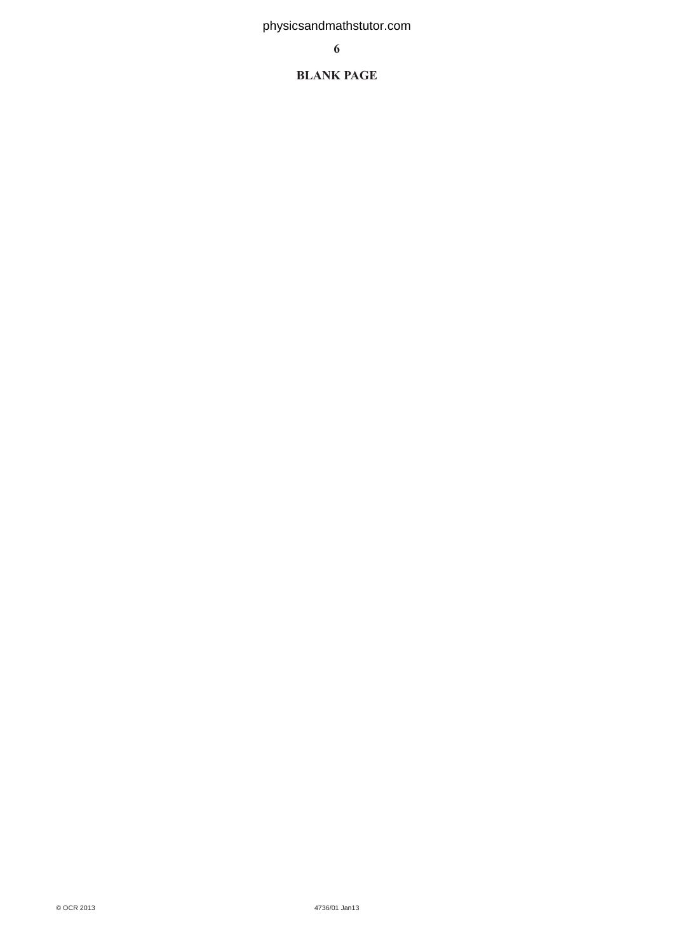### **6**

## **BLANK PAGE**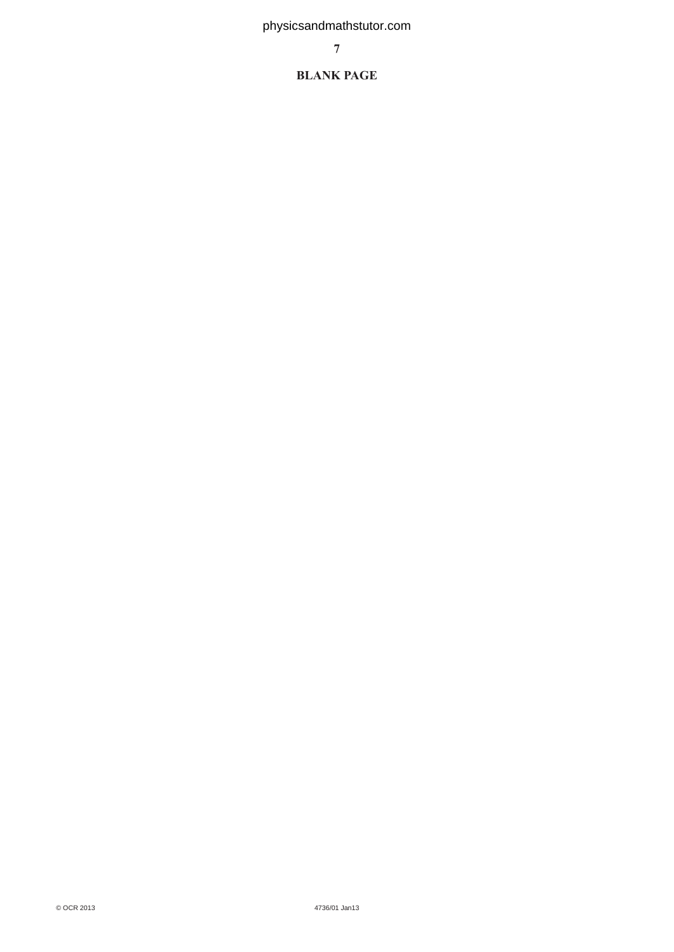### **7**

## **BLANK PAGE**